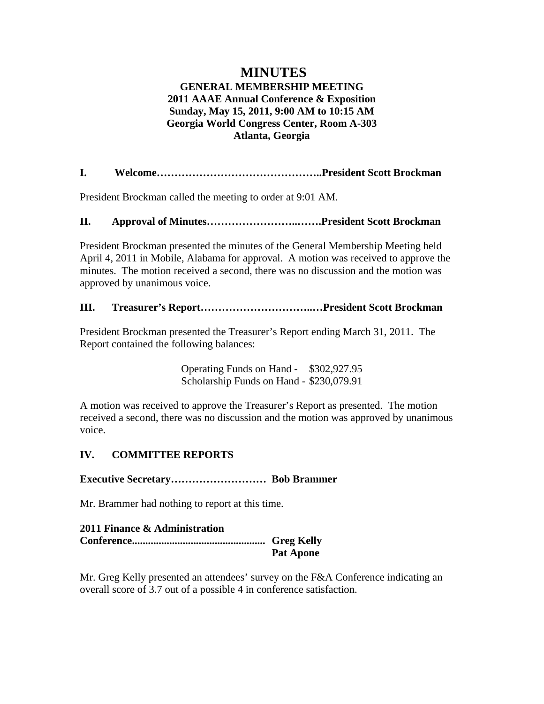# **MINUTES GENERAL MEMBERSHIP MEETING 2011 AAAE Annual Conference & Exposition Sunday, May 15, 2011, 9:00 AM to 10:15 AM Georgia World Congress Center, Room A-303 Atlanta, Georgia**

**I. Welcome………………………………………..President Scott Brockman** 

President Brockman called the meeting to order at 9:01 AM.

## **II. Approval of Minutes……………………..…….President Scott Brockman**

President Brockman presented the minutes of the General Membership Meeting held April 4, 2011 in Mobile, Alabama for approval. A motion was received to approve the minutes. The motion received a second, there was no discussion and the motion was approved by unanimous voice.

## **III. Treasurer's Report…………………………..…President Scott Brockman**

President Brockman presented the Treasurer's Report ending March 31, 2011. The Report contained the following balances:

> Operating Funds on Hand - \$302,927.95 Scholarship Funds on Hand - \$230,079.91

A motion was received to approve the Treasurer's Report as presented. The motion received a second, there was no discussion and the motion was approved by unanimous voice.

# **IV. COMMITTEE REPORTS**

**Executive Secretary……………………… Bob Brammer** 

Mr. Brammer had nothing to report at this time.

| 2011 Finance & Administration |                  |
|-------------------------------|------------------|
|                               |                  |
|                               | <b>Pat Apone</b> |

Mr. Greg Kelly presented an attendees' survey on the F&A Conference indicating an overall score of 3.7 out of a possible 4 in conference satisfaction.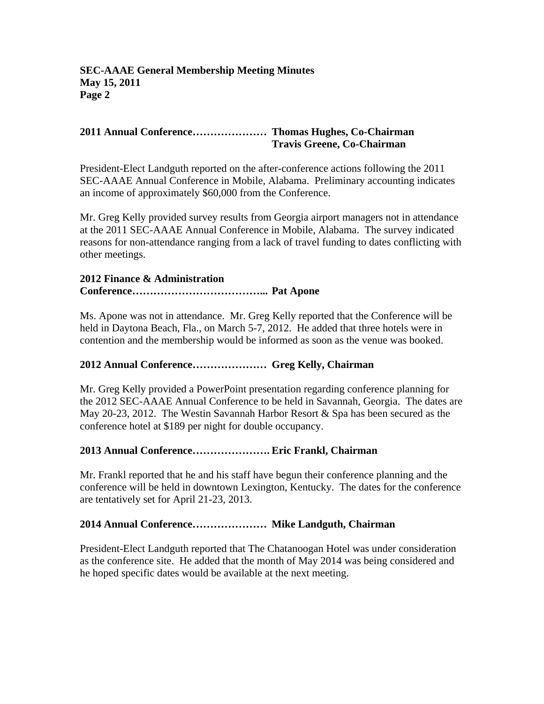# **2011 Annual Conference………………… Thomas Hughes, Co-Chairman Travis Greene, Co-Chairman**

President-Elect Landguth reported on the after-conference actions following the 2011 SEC-AAAE Annual Conference in Mobile, Alabama. Preliminary accounting indicates an income of approximately \$60,000 from the Conference.

Mr. Greg Kelly provided survey results from Georgia airport managers not in attendance at the 2011 SEC-AAAE Annual Conference in Mobile, Alabama. The survey indicated reasons for non-attendance ranging from a lack of travel funding to dates conflicting with other meetings.

## **2012 Finance & Administration Conference………………………………... Pat Apone**

Ms. Apone was not in attendance. Mr. Greg Kelly reported that the Conference will be held in Daytona Beach, Fla., on March 5-7, 2012. He added that three hotels were in contention and the membership would be informed as soon as the venue was booked.

# **2012 Annual Conference………………… Greg Kelly, Chairman**

Mr. Greg Kelly provided a PowerPoint presentation regarding conference planning for the 2012 SEC-AAAE Annual Conference to be held in Savannah, Georgia.The dates are May 20-23, 2012. The Westin Savannah Harbor Resort & Spa has been secured as the conference hotel at \$189 per night for double occupancy.

# **2013 Annual Conference…………………. Eric Frankl, Chairman**

Mr. Frankl reported that he and his staff have begun their conference planning and the conference will be held in downtown Lexington, Kentucky. The dates for the conference are tentatively set for April 21-23, 2013.

# **2014 Annual Conference………………… Mike Landguth, Chairman**

President-Elect Landguth reported that The Chatanoogan Hotel was under consideration as the conference site. He added that the month of May 2014 was being considered and he hoped specific dates would be available at the next meeting.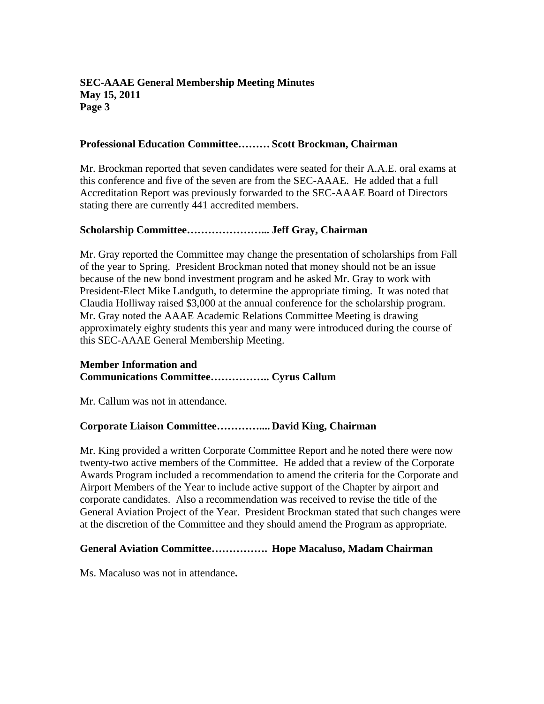## **SEC-AAAE General Membership Meeting Minutes May 15, 2011 Page 3**

### **Professional Education Committee……… Scott Brockman, Chairman**

Mr. Brockman reported that seven candidates were seated for their A.A.E. oral exams at this conference and five of the seven are from the SEC-AAAE. He added that a full Accreditation Report was previously forwarded to the SEC-AAAE Board of Directors stating there are currently 441 accredited members.

### **Scholarship Committee…………………... Jeff Gray, Chairman**

Mr. Gray reported the Committee may change the presentation of scholarships from Fall of the year to Spring. President Brockman noted that money should not be an issue because of the new bond investment program and he asked Mr. Gray to work with President-Elect Mike Landguth, to determine the appropriate timing. It was noted that Claudia Holliway raised \$3,000 at the annual conference for the scholarship program. Mr. Gray noted the AAAE Academic Relations Committee Meeting is drawing approximately eighty students this year and many were introduced during the course of this SEC-AAAE General Membership Meeting.

### **Member Information and Communications Committee…………….. Cyrus Callum**

Mr. Callum was not in attendance.

## **Corporate Liaison Committee………….... David King, Chairman**

Mr. King provided a written Corporate Committee Report and he noted there were now twenty-two active members of the Committee. He added that a review of the Corporate Awards Program included a recommendation to amend the criteria for the Corporate and Airport Members of the Year to include active support of the Chapter by airport and corporate candidates. Also a recommendation was received to revise the title of the General Aviation Project of the Year. President Brockman stated that such changes were at the discretion of the Committee and they should amend the Program as appropriate.

### **General Aviation Committee……………. Hope Macaluso, Madam Chairman**

Ms. Macaluso was not in attendance**.**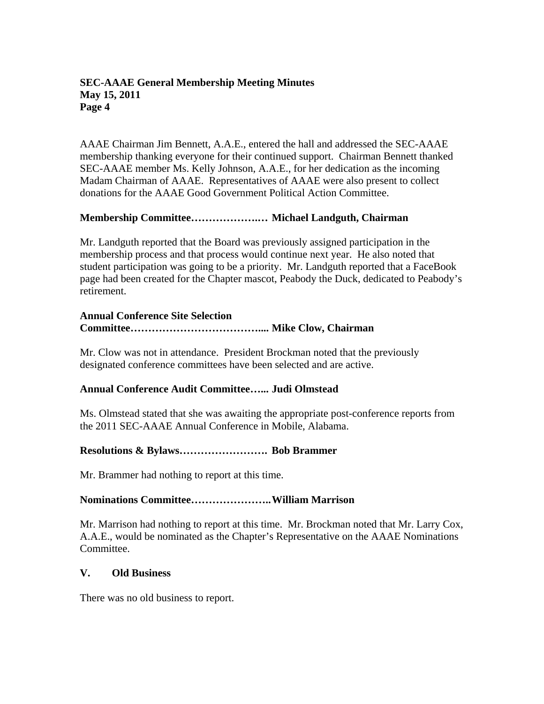### **SEC-AAAE General Membership Meeting Minutes May 15, 2011 Page 4**

AAAE Chairman Jim Bennett, A.A.E., entered the hall and addressed the SEC-AAAE membership thanking everyone for their continued support. Chairman Bennett thanked SEC-AAAE member Ms. Kelly Johnson, A.A.E., for her dedication as the incoming Madam Chairman of AAAE. Representatives of AAAE were also present to collect donations for the AAAE Good Government Political Action Committee.

### **Membership Committee……………….… Michael Landguth, Chairman**

Mr. Landguth reported that the Board was previously assigned participation in the membership process and that process would continue next year. He also noted that student participation was going to be a priority. Mr. Landguth reported that a FaceBook page had been created for the Chapter mascot, Peabody the Duck, dedicated to Peabody's retirement.

### **Annual Conference Site Selection Committee……………………………….... Mike Clow, Chairman**

Mr. Clow was not in attendance. President Brockman noted that the previously designated conference committees have been selected and are active.

## **Annual Conference Audit Committee…... Judi Olmstead**

Ms. Olmstead stated that she was awaiting the appropriate post-conference reports from the 2011 SEC-AAAE Annual Conference in Mobile, Alabama.

### **Resolutions & Bylaws……………………. Bob Brammer**

Mr. Brammer had nothing to report at this time.

### **Nominations Committee………………….. William Marrison**

Mr. Marrison had nothing to report at this time. Mr. Brockman noted that Mr. Larry Cox, A.A.E., would be nominated as the Chapter's Representative on the AAAE Nominations Committee.

### **V. Old Business**

There was no old business to report.